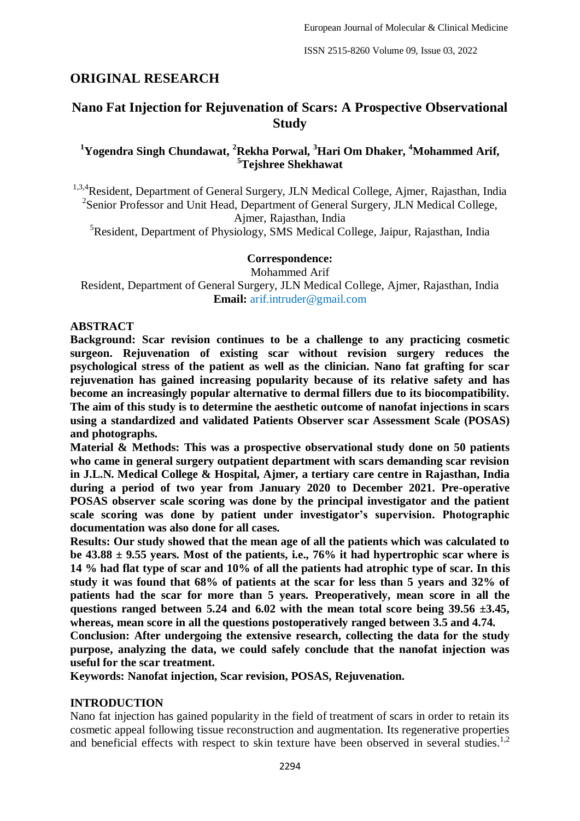# **ORIGINAL RESEARCH**

# **Nano Fat Injection for Rejuvenation of Scars: A Prospective Observational Study**

## **<sup>1</sup>Yogendra Singh Chundawat, <sup>2</sup>Rekha Porwal, <sup>3</sup>Hari Om Dhaker, <sup>4</sup>Mohammed Arif, <sup>5</sup>Tejshree Shekhawat**

<sup>1,3,4</sup>Resident, Department of General Surgery, JLN Medical College, Ajmer, Rajasthan, India <sup>2</sup>Senior Professor and Unit Head, Department of General Surgery, JLN Medical College, Ajmer, Rajasthan, India

<sup>5</sup>Resident, Department of Physiology, SMS Medical College, Jaipur, Rajasthan, India

### **Correspondence:**

Mohammed Arif Resident, Department of General Surgery, JLN Medical College, Ajmer, Rajasthan, India **Email:** arif.intruder@gmail.com

#### **ABSTRACT**

**Background: Scar revision continues to be a challenge to any practicing cosmetic surgeon. Rejuvenation of existing scar without revision surgery reduces the psychological stress of the patient as well as the clinician. Nano fat grafting for scar rejuvenation has gained increasing popularity because of its relative safety and has become an increasingly popular alternative to dermal fillers due to its biocompatibility. The aim of this study is to determine the aesthetic outcome of nanofat injections in scars using a standardized and validated Patients Observer scar Assessment Scale (POSAS) and photographs.**

**Material & Methods: This was a prospective observational study done on 50 patients who came in general surgery outpatient department with scars demanding scar revision in J.L.N. Medical College & Hospital, Ajmer, a tertiary care centre in Rajasthan, India during a period of two year from January 2020 to December 2021. Pre-operative POSAS observer scale scoring was done by the principal investigator and the patient scale scoring was done by patient under investigator's supervision. Photographic documentation was also done for all cases.**

**Results: Our study showed that the mean age of all the patients which was calculated to be 43.88 ± 9.55 years. Most of the patients, i.e., 76% it had hypertrophic scar where is 14 % had flat type of scar and 10% of all the patients had atrophic type of scar. In this study it was found that 68% of patients at the scar for less than 5 years and 32% of patients had the scar for more than 5 years. Preoperatively, mean score in all the questions ranged between 5.24 and 6.02 with the mean total score being 39.56 ±3.45, whereas, mean score in all the questions postoperatively ranged between 3.5 and 4.74.**

**Conclusion: After undergoing the extensive research, collecting the data for the study purpose, analyzing the data, we could safely conclude that the nanofat injection was useful for the scar treatment.**

**Keywords: Nanofat injection, Scar revision, POSAS, Rejuvenation.**

### **INTRODUCTION**

Nano fat injection has gained popularity in the field of treatment of scars in order to retain its cosmetic appeal following tissue reconstruction and augmentation. Its regenerative properties and beneficial effects with respect to skin texture have been observed in several studies.<sup>1,2</sup>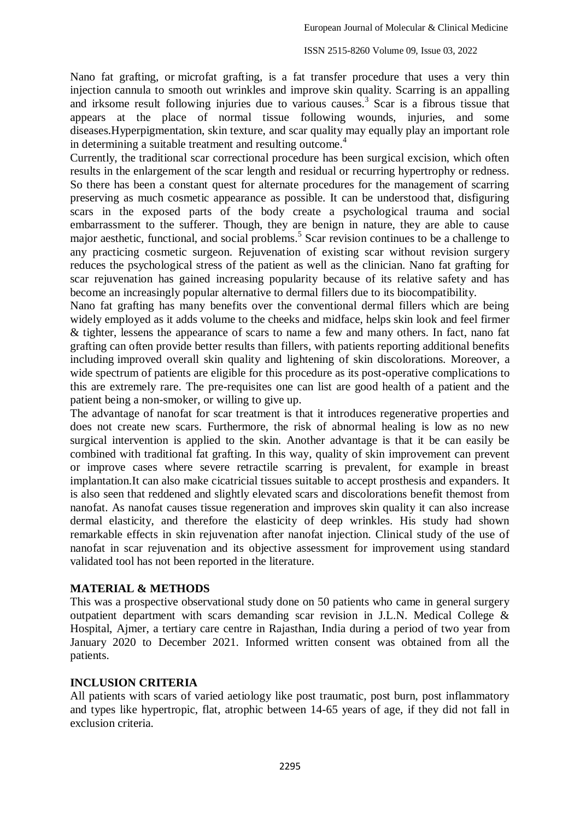Nano fat grafting, or microfat grafting, is a fat transfer procedure that uses a very thin injection cannula to smooth out wrinkles and improve skin quality. Scarring is an appalling and irksome result following injuries due to various causes. 3 Scar is a fibrous tissue that appears at the place of normal tissue following wounds, injuries, and some diseases.Hyperpigmentation, skin texture, and scar quality may equally play an important role in determining a suitable treatment and resulting outcome. 4

Currently, the traditional scar correctional procedure has been surgical excision, which often results in the enlargement of the scar length and residual or recurring hypertrophy or redness. So there has been a constant quest for alternate procedures for the management of scarring preserving as much cosmetic appearance as possible. It can be understood that, disfiguring scars in the exposed parts of the body create a psychological trauma and social embarrassment to the sufferer. Though, they are benign in nature, they are able to cause major aesthetic, functional, and social problems. 5 Scar revision continues to be a challenge to any practicing cosmetic surgeon. Rejuvenation of existing scar without revision surgery reduces the psychological stress of the patient as well as the clinician. Nano fat grafting for scar rejuvenation has gained increasing popularity because of its relative safety and has become an increasingly popular alternative to dermal fillers due to its biocompatibility.

Nano fat grafting has many benefits over the conventional dermal fillers which are being widely employed as it adds volume to the cheeks and midface, helps skin look and feel firmer & tighter, lessens the appearance of scars to name a few and many others. In fact, nano fat grafting can often provide better results than fillers, with patients reporting additional benefits including improved overall skin quality and lightening of skin discolorations. Moreover, a wide spectrum of patients are eligible for this procedure as its post-operative complications to this are extremely rare. The pre-requisites one can list are good health of a patient and the patient being a non-smoker, or willing to give up.

The advantage of nanofat for scar treatment is that it introduces regenerative properties and does not create new scars. Furthermore, the risk of abnormal healing is low as no new surgical intervention is applied to the skin. Another advantage is that it be can easily be combined with traditional fat grafting. In this way, quality of skin improvement can prevent or improve cases where severe retractile scarring is prevalent, for example in breast implantation.It can also make cicatricial tissues suitable to accept prosthesis and expanders. It is also seen that reddened and slightly elevated scars and discolorations benefit themost from nanofat. As nanofat causes tissue regeneration and improves skin quality it can also increase dermal elasticity, and therefore the elasticity of deep wrinkles. His study had shown remarkable effects in skin rejuvenation after nanofat injection. Clinical study of the use of nanofat in scar rejuvenation and its objective assessment for improvement using standard validated tool has not been reported in the literature.

## **MATERIAL & METHODS**

This was a prospective observational study done on 50 patients who came in general surgery outpatient department with scars demanding scar revision in J.L.N. Medical College & Hospital, Ajmer, a tertiary care centre in Rajasthan, India during a period of two year from January 2020 to December 2021. Informed written consent was obtained from all the patients.

## **INCLUSION CRITERIA**

All patients with scars of varied aetiology like post traumatic, post burn, post inflammatory and types like hypertropic, flat, atrophic between 14-65 years of age, if they did not fall in exclusion criteria.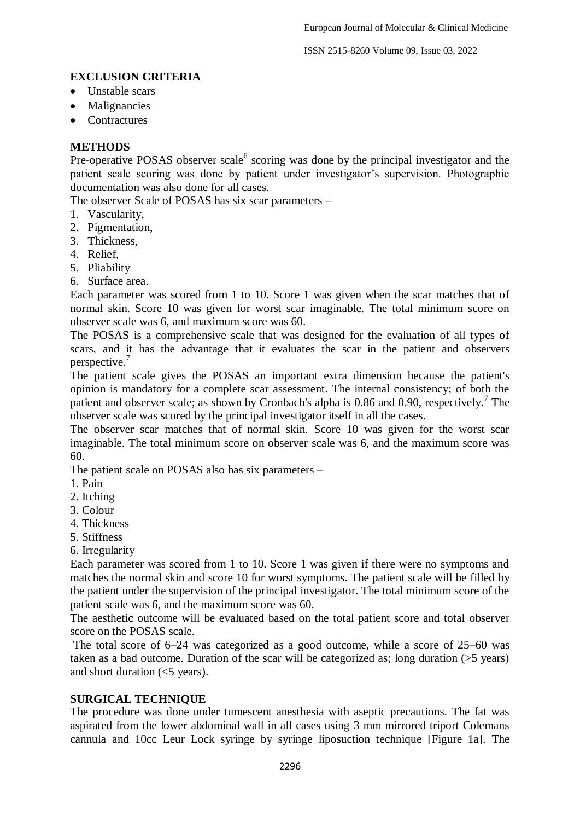## **EXCLUSION CRITERIA**

- Unstable scars
- Malignancies
- Contractures

## **METHODS**

Pre-operative POSAS observer scale $<sup>6</sup>$  scoring was done by the principal investigator and the</sup> patient scale scoring was done by patient under investigator's supervision. Photographic documentation was also done for all cases.

The observer Scale of POSAS has six scar parameters –

- 1. Vascularity,
- 2. Pigmentation,
- 3. Thickness,
- 4. Relief,
- 5. Pliability
- 6. Surface area.

Each parameter was scored from 1 to 10. Score 1 was given when the scar matches that of normal skin. Score 10 was given for worst scar imaginable. The total minimum score on observer scale was 6, and maximum score was 60.

The POSAS is a comprehensive scale that was designed for the evaluation of all types of scars, and it has the advantage that it evaluates the scar in the patient and observers perspective.<sup>7</sup>

The patient scale gives the POSAS an important extra dimension because the patient's opinion is mandatory for a complete scar assessment. The internal consistency; of both the patient and observer scale; as shown by Cronbach's alpha is  $0.86$  and  $0.90$ , respectively.<sup>7</sup> The observer scale was scored by the principal investigator itself in all the cases.

The observer scar matches that of normal skin. Score 10 was given for the worst scar imaginable. The total minimum score on observer scale was 6, and the maximum score was 60.

The patient scale on POSAS also has six parameters –

- 1. Pain
- 2. Itching
- 3. Colour
- 4. Thickness
- 5. Stiffness
- 6. Irregularity

Each parameter was scored from 1 to 10. Score 1 was given if there were no symptoms and matches the normal skin and score 10 for worst symptoms. The patient scale will be filled by the patient under the supervision of the principal investigator. The total minimum score of the patient scale was 6, and the maximum score was 60.

The aesthetic outcome will be evaluated based on the total patient score and total observer score on the POSAS scale.

The total score of 6–24 was categorized as a good outcome, while a score of 25–60 was taken as a bad outcome. Duration of the scar will be categorized as; long duration (>5 years) and short duration (<5 years).

### **SURGICAL TECHNIQUE**

The procedure was done under tumescent anesthesia with aseptic precautions. The fat was aspirated from the lower abdominal wall in all cases using 3 mm mirrored triport Colemans cannula and 10cc Leur Lock syringe by syringe liposuction technique [\[Figure 1a\]](https://www.ncbi.nlm.nih.gov/pmc/articles/PMC5992940/figure/F1/). The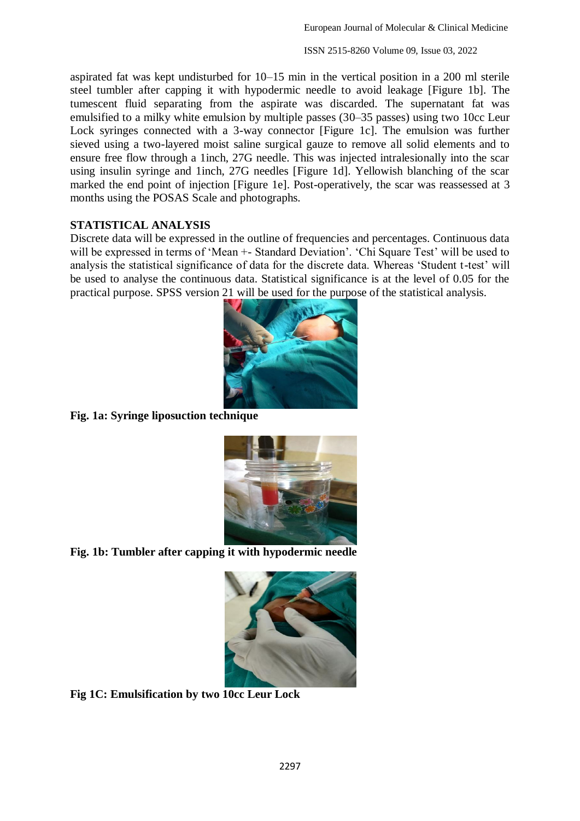aspirated fat was kept undisturbed for 10–15 min in the vertical position in a 200 ml sterile steel tumbler after capping it with hypodermic needle to avoid leakage [\[Figure 1b\]](https://www.ncbi.nlm.nih.gov/pmc/articles/PMC5992940/figure/F1/). The tumescent fluid separating from the aspirate was discarded. The supernatant fat was emulsified to a milky white emulsion by multiple passes (30–35 passes) using two 10cc Leur Lock syringes connected with a 3-way connector [\[Figure 1c\]](https://www.ncbi.nlm.nih.gov/pmc/articles/PMC5992940/figure/F1/). The emulsion was further sieved using a two-layered moist saline surgical gauze to remove all solid elements and to ensure free flow through a 1inch, 27G needle. This was injected intralesionally into the scar using insulin syringe and 1inch, 27G needles [Figure 1d]. Yellowish blanching of the scar marked the end point of injection [Figure 1e]. Post-operatively, the scar was reassessed at 3 months using the POSAS Scale and photographs.

### **STATISTICAL ANALYSIS**

Discrete data will be expressed in the outline of frequencies and percentages. Continuous data will be expressed in terms of 'Mean +- Standard Deviation'. 'Chi Square Test' will be used to analysis the statistical significance of data for the discrete data. Whereas 'Student t-test' will be used to analyse the continuous data. Statistical significance is at the level of 0.05 for the practical purpose. SPSS version 21 will be used for the purpose of the statistical analysis.



**Fig. 1a: Syringe liposuction technique** 



**Fig. 1b: Tumbler after capping it with hypodermic needle**



**Fig 1C: Emulsification by two 10cc Leur Lock**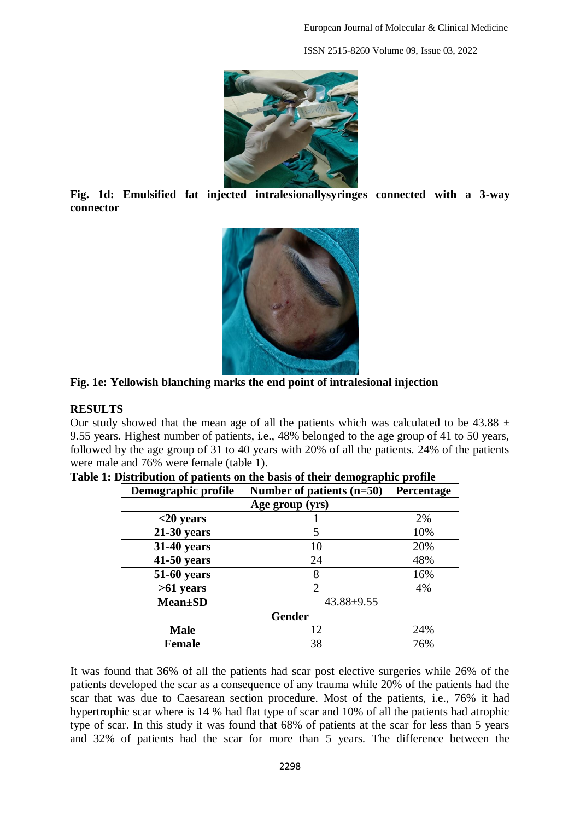

**Fig. 1d: Emulsified fat injected intralesionallysyringes connected with a 3-way connector**





### **RESULTS**

Our study showed that the mean age of all the patients which was calculated to be 43.88  $\pm$ 9.55 years. Highest number of patients, i.e., 48% belonged to the age group of 41 to 50 years, followed by the age group of 31 to 40 years with 20% of all the patients. 24% of the patients were male and 76% were female (table 1).

| Demographic profile                           | Percentage     |     |  |  |  |  |  |
|-----------------------------------------------|----------------|-----|--|--|--|--|--|
| Age group (yrs)                               |                |     |  |  |  |  |  |
| $<$ 20 years                                  |                | 2%  |  |  |  |  |  |
| $21-30$ years                                 | 5              | 10% |  |  |  |  |  |
| 31-40 years                                   | 10             | 20% |  |  |  |  |  |
| 41-50 years                                   | 24             | 48% |  |  |  |  |  |
| 51-60 years                                   | 8              | 16% |  |  |  |  |  |
| $>61$ years                                   | $\overline{2}$ | 4%  |  |  |  |  |  |
| $43.88 + 9.55$<br><b>Mean</b> <sup>+</sup> SD |                |     |  |  |  |  |  |
| <b>Gender</b>                                 |                |     |  |  |  |  |  |
| <b>Male</b>                                   | 12             | 24% |  |  |  |  |  |
| Female                                        | 38             | 76% |  |  |  |  |  |

| Table 1: Distribution of patients on the basis of their demographic profile |  |  |  |  |  |  |  |  |  |  |  |  |  |
|-----------------------------------------------------------------------------|--|--|--|--|--|--|--|--|--|--|--|--|--|
|-----------------------------------------------------------------------------|--|--|--|--|--|--|--|--|--|--|--|--|--|

It was found that 36% of all the patients had scar post elective surgeries while 26% of the patients developed the scar as a consequence of any trauma while 20% of the patients had the scar that was due to Caesarean section procedure. Most of the patients, i.e., 76% it had hypertrophic scar where is 14 % had flat type of scar and 10% of all the patients had atrophic type of scar. In this study it was found that 68% of patients at the scar for less than 5 years and 32% of patients had the scar for more than 5 years. The difference between the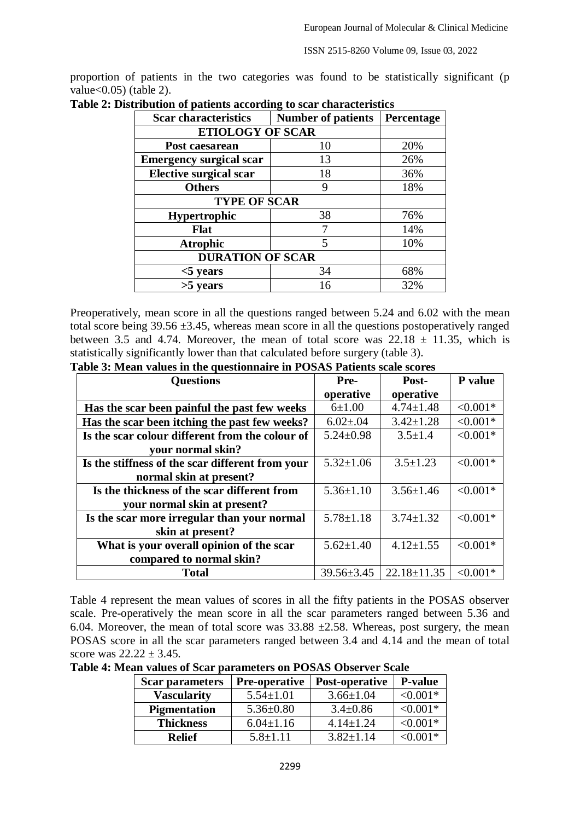proportion of patients in the two categories was found to be statistically significant (p value<0.05) (table 2).

| <b>Scar characteristics</b>    | <b>Number of patients</b> | Percentage |
|--------------------------------|---------------------------|------------|
| <b>ETIOLOGY OF SCAR</b>        |                           |            |
| Post caesarean                 | 10                        | 20%        |
| <b>Emergency surgical scar</b> | 13                        | 26%        |
| <b>Elective surgical scar</b>  | 18                        | 36%        |
| <b>Others</b>                  | 9                         | 18%        |
| <b>TYPE OF SCAR</b>            |                           |            |
| <b>Hypertrophic</b>            | 38                        | 76%        |
| <b>Flat</b>                    |                           | 14%        |
| <b>Atrophic</b>                | 5                         | 10%        |
| <b>DURATION OF SCAR</b>        |                           |            |
| $<$ 5 years                    | 34                        | 68%        |
| $>5$ years                     | 16                        | 32%        |

**Table 2: Distribution of patients according to scar characteristics**

Preoperatively, mean score in all the questions ranged between 5.24 and 6.02 with the mean total score being  $39.56 \pm 3.45$ , whereas mean score in all the questions postoperatively ranged between 3.5 and 4.74. Moreover, the mean of total score was  $22.18 \pm 11.35$ , which is statistically significantly lower than that calculated before surgery (table 3).

| <b>Questions</b>                                 | Pre-             | Post-             | P value    |
|--------------------------------------------------|------------------|-------------------|------------|
|                                                  | operative        | operative         |            |
| Has the scar been painful the past few weeks     | $6 \pm 1.00$     | $4.74 \pm 1.48$   | $< 0.001*$ |
| Has the scar been itching the past few weeks?    | $6.02 \pm .04$   | $3.42 \pm 1.28$   | $< 0.001*$ |
| Is the scar colour different from the colour of  | $5.24 \pm 0.98$  | $3.5 \pm 1.4$     | $< 0.001*$ |
| your normal skin?                                |                  |                   |            |
| Is the stiffness of the scar different from your | $5.32 \pm 1.06$  | $3.5 \pm 1.23$    | $< 0.001*$ |
| normal skin at present?                          |                  |                   |            |
| Is the thickness of the scar different from      | $5.36 \pm 1.10$  | $3.56 \pm 1.46$   | $< 0.001*$ |
| your normal skin at present?                     |                  |                   |            |
| Is the scar more irregular than your normal      | $5.78 \pm 1.18$  | $3.74 \pm 1.32$   | $< 0.001*$ |
| skin at present?                                 |                  |                   |            |
| What is your overall opinion of the scar         | $5.62 \pm 1.40$  | $4.12 \pm 1.55$   | $< 0.001*$ |
| compared to normal skin?                         |                  |                   |            |
| <b>Total</b>                                     | $39.56 \pm 3.45$ | $22.18 \pm 11.35$ | $< 0.001*$ |

**Table 3: Mean values in the questionnaire in POSAS Patients scale scores**

Table 4 represent the mean values of scores in all the fifty patients in the POSAS observer scale. Pre-operatively the mean score in all the scar parameters ranged between 5.36 and 6.04. Moreover, the mean of total score was  $33.88 \pm 2.58$ . Whereas, post surgery, the mean POSAS score in all the scar parameters ranged between 3.4 and 4.14 and the mean of total score was  $22.22 \pm 3.45$ .

**Table 4: Mean values of Scar parameters on POSAS Observer Scale**

| <b>Scar parameters</b> | <b>Pre-operative</b> | Post-operative  | <b>P-value</b> |
|------------------------|----------------------|-----------------|----------------|
| <b>Vascularity</b>     | $5.54 \pm 1.01$      | $3.66 \pm 1.04$ | $< 0.001*$     |
| <b>Pigmentation</b>    | $5.36 \pm 0.80$      | $3.4 \pm 0.86$  | $< 0.001*$     |
| <b>Thickness</b>       | $6.04 \pm 1.16$      | $4.14 \pm 1.24$ | $< 0.001*$     |
| <b>Relief</b>          | $5.8 \pm 1.11$       | $3.82 \pm 1.14$ | ∠∩ ∩∩1*        |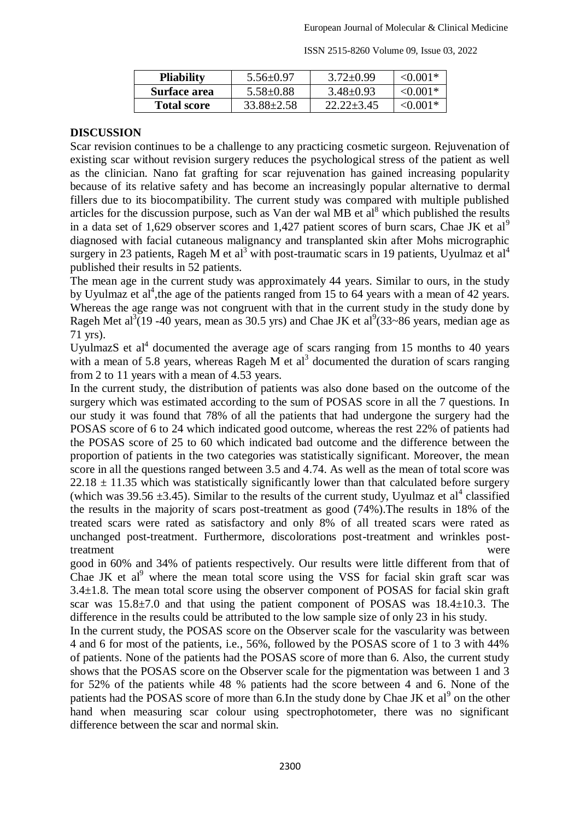| <b>Pliability</b>  | $5.56\pm0.97$    | $3.72 + 0.99$ | $< 0.001*$ |
|--------------------|------------------|---------------|------------|
| Surface area       | $5.58 \pm 0.88$  | $3.48\pm0.93$ | $< 0.001*$ |
| <b>Total score</b> | $33.88 \pm 2.58$ | $22.22+3.45$  | $<$ 0.001* |

## **DISCUSSION**

Scar revision continues to be a challenge to any practicing cosmetic surgeon. Rejuvenation of existing scar without revision surgery reduces the psychological stress of the patient as well as the clinician. Nano fat grafting for scar rejuvenation has gained increasing popularity because of its relative safety and has become an increasingly popular alternative to dermal fillers due to its biocompatibility. The current study was compared with multiple published articles for the discussion purpose, such as Van der wal MB et  $al<sup>8</sup>$  which published the results in a data set of 1,629 observer scores and 1,427 patient scores of burn scars, Chae JK et al<sup>9</sup> diagnosed with facial cutaneous malignancy and transplanted skin after Mohs micrographic surgery in 23 patients, Rageh M et al<sup>3</sup> with post-traumatic scars in 19 patients, Uyulmaz et al<sup>4</sup> published their results in 52 patients.

The mean age in the current study was approximately 44 years. Similar to ours, in the study by Uyulmaz et al<sup>4</sup>, the age of the patients ranged from 15 to 64 years with a mean of 42 years. Whereas the age range was not congruent with that in the current study in the study done by Rageh Met al<sup>3</sup>(19 -40 years, mean as 30.5 yrs) and Chae JK et al<sup>9</sup>(33~86 years, median age as 71 yrs).

UyulmazS et al<sup>4</sup> documented the average age of scars ranging from 15 months to 40 years with a mean of 5.8 years, whereas Rageh  $\overline{M}$  et al<sup>3</sup> documented the duration of scars ranging from 2 to 11 years with a mean of 4.53 years.

In the current study, the distribution of patients was also done based on the outcome of the surgery which was estimated according to the sum of POSAS score in all the 7 questions. In our study it was found that 78% of all the patients that had undergone the surgery had the POSAS score of 6 to 24 which indicated good outcome, whereas the rest 22% of patients had the POSAS score of 25 to 60 which indicated bad outcome and the difference between the proportion of patients in the two categories was statistically significant. Moreover, the mean score in all the questions ranged between 3.5 and 4.74. As well as the mean of total score was  $22.18 \pm 11.35$  which was statistically significantly lower than that calculated before surgery (which was 39.56  $\pm$ 3.45). Similar to the results of the current study, Uyulmaz et al<sup>4</sup> classified the results in the majority of scars post-treatment as good (74%).The results in 18% of the treated scars were rated as satisfactory and only 8% of all treated scars were rated as unchanged post-treatment. Furthermore, discolorations post-treatment and wrinkles posttreatment were

good in 60% and 34% of patients respectively. Our results were little different from that of Chae JK et al<sup>9</sup> where the mean total score using the VSS for facial skin graft scar was 3.4±1.8. The mean total score using the observer component of POSAS for facial skin graft scar was  $15.8\pm7.0$  and that using the patient component of POSAS was  $18.4\pm10.3$ . The difference in the results could be attributed to the low sample size of only 23 in his study.

In the current study, the POSAS score on the Observer scale for the vascularity was between 4 and 6 for most of the patients, i.e., 56%, followed by the POSAS score of 1 to 3 with 44% of patients. None of the patients had the POSAS score of more than 6. Also, the current study shows that the POSAS score on the Observer scale for the pigmentation was between 1 and 3 for 52% of the patients while 48 % patients had the score between 4 and 6. None of the patients had the POSAS score of more than 6. In the study done by Chae JK et al<sup>9</sup> on the other hand when measuring scar colour using spectrophotometer, there was no significant difference between the scar and normal skin.